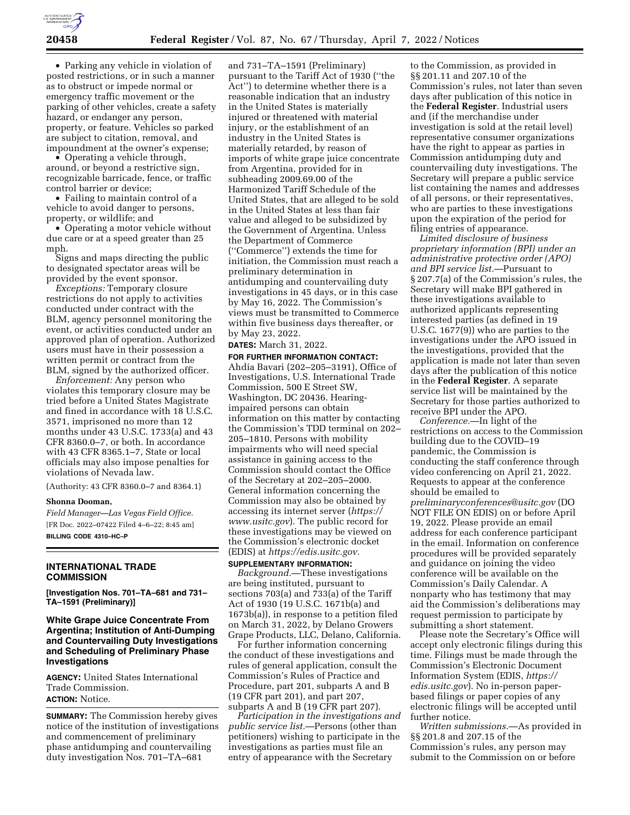

• Parking any vehicle in violation of posted restrictions, or in such a manner as to obstruct or impede normal or emergency traffic movement or the parking of other vehicles, create a safety hazard, or endanger any person, property, or feature. Vehicles so parked are subject to citation, removal, and impoundment at the owner's expense;

• Operating a vehicle through, around, or beyond a restrictive sign, recognizable barricade, fence, or traffic control barrier or device;

• Failing to maintain control of a vehicle to avoid danger to persons, property, or wildlife; and

• Operating a motor vehicle without due care or at a speed greater than 25 mph.

Signs and maps directing the public to designated spectator areas will be provided by the event sponsor.

*Exceptions:* Temporary closure restrictions do not apply to activities conducted under contract with the BLM, agency personnel monitoring the event, or activities conducted under an approved plan of operation. Authorized users must have in their possession a written permit or contract from the BLM, signed by the authorized officer.

*Enforcement:* Any person who violates this temporary closure may be tried before a United States Magistrate and fined in accordance with 18 U.S.C. 3571, imprisoned no more than 12 months under 43 U.S.C. 1733(a) and 43 CFR 8360.0–7, or both. In accordance with 43 CFR 8365.1–7, State or local officials may also impose penalties for violations of Nevada law.

(Authority: 43 CFR 8360.0–7 and 8364.1)

# **Shonna Dooman,**

*Field Manager—Las Vegas Field Office.*  [FR Doc. 2022–07422 Filed 4–6–22; 8:45 am] **BILLING CODE 4310–HC–P** 

## **INTERNATIONAL TRADE COMMISSION**

**[Investigation Nos. 701–TA–681 and 731– TA–1591 (Preliminary)]** 

# **White Grape Juice Concentrate From Argentina; Institution of Anti-Dumping and Countervailing Duty Investigations and Scheduling of Preliminary Phase Investigations**

**AGENCY:** United States International Trade Commission. **ACTION:** Notice.

**SUMMARY:** The Commission hereby gives notice of the institution of investigations and commencement of preliminary phase antidumping and countervailing duty investigation Nos. 701–TA–681

and 731–TA–1591 (Preliminary) pursuant to the Tariff Act of 1930 (''the Act'') to determine whether there is a reasonable indication that an industry in the United States is materially injured or threatened with material injury, or the establishment of an industry in the United States is materially retarded, by reason of imports of white grape juice concentrate from Argentina, provided for in subheading 2009.69.00 of the Harmonized Tariff Schedule of the United States, that are alleged to be sold in the United States at less than fair value and alleged to be subsidized by the Government of Argentina. Unless the Department of Commerce (''Commerce'') extends the time for initiation, the Commission must reach a preliminary determination in antidumping and countervailing duty investigations in 45 days, or in this case by May 16, 2022. The Commission's views must be transmitted to Commerce within five business days thereafter, or by May 23, 2022.

## **DATES:** March 31, 2022.

**FOR FURTHER INFORMATION CONTACT:**  Ahdia Bavari (202–205–3191), Office of Investigations, U.S. International Trade Commission, 500 E Street SW, Washington, DC 20436. Hearingimpaired persons can obtain information on this matter by contacting the Commission's TDD terminal on 202– 205–1810. Persons with mobility impairments who will need special assistance in gaining access to the Commission should contact the Office of the Secretary at 202–205–2000. General information concerning the Commission may also be obtained by accessing its internet server (*https:// www.usitc.gov*). The public record for these investigations may be viewed on the Commission's electronic docket (EDIS) at *https://edis.usitc.gov.* 

#### **SUPPLEMENTARY INFORMATION:**

*Background.*—These investigations are being instituted, pursuant to sections 703(a) and 733(a) of the Tariff Act of 1930 (19 U.S.C. 1671b(a) and 1673b(a)), in response to a petition filed on March 31, 2022, by Delano Growers Grape Products, LLC, Delano, California.

For further information concerning the conduct of these investigations and rules of general application, consult the Commission's Rules of Practice and Procedure, part 201, subparts A and B (19 CFR part 201), and part 207, subparts A and B (19 CFR part 207).

*Participation in the investigations and public service list.*—Persons (other than petitioners) wishing to participate in the investigations as parties must file an entry of appearance with the Secretary

to the Commission, as provided in §§ 201.11 and 207.10 of the Commission's rules, not later than seven days after publication of this notice in the **Federal Register**. Industrial users and (if the merchandise under investigation is sold at the retail level) representative consumer organizations have the right to appear as parties in Commission antidumping duty and countervailing duty investigations. The Secretary will prepare a public service list containing the names and addresses of all persons, or their representatives, who are parties to these investigations upon the expiration of the period for filing entries of appearance.

*Limited disclosure of business proprietary information (BPI) under an administrative protective order (APO) and BPI service list.*—Pursuant to § 207.7(a) of the Commission's rules, the Secretary will make BPI gathered in these investigations available to authorized applicants representing interested parties (as defined in 19 U.S.C. 1677(9)) who are parties to the investigations under the APO issued in the investigations, provided that the application is made not later than seven days after the publication of this notice in the **Federal Register**. A separate service list will be maintained by the Secretary for those parties authorized to receive BPI under the APO.

*Conference.*—In light of the restrictions on access to the Commission building due to the COVID–19 pandemic, the Commission is conducting the staff conference through video conferencing on April 21, 2022. Requests to appear at the conference should be emailed to *preliminaryconferences@usitc.gov* (DO NOT FILE ON EDIS) on or before April 19, 2022. Please provide an email address for each conference participant in the email. Information on conference procedures will be provided separately and guidance on joining the video conference will be available on the Commission's Daily Calendar. A nonparty who has testimony that may aid the Commission's deliberations may request permission to participate by submitting a short statement.

Please note the Secretary's Office will accept only electronic filings during this time. Filings must be made through the Commission's Electronic Document Information System (EDIS, *https:// edis.usitc.gov*). No in-person paperbased filings or paper copies of any electronic filings will be accepted until further notice.

*Written submissions.*—As provided in §§ 201.8 and 207.15 of the Commission's rules, any person may submit to the Commission on or before